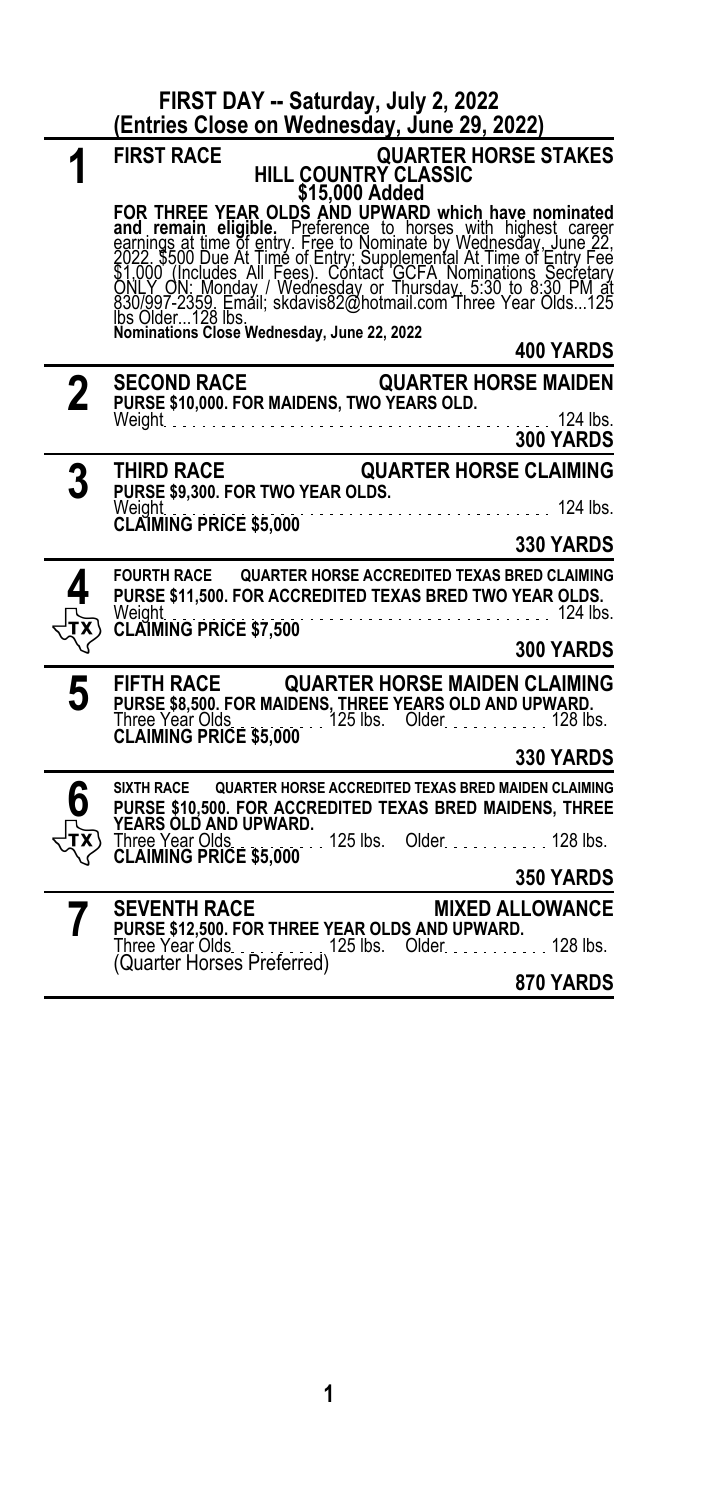|   | FIRST DAY -- Saturday, July 2, 2022                                                                                                                                                                                                      |
|---|------------------------------------------------------------------------------------------------------------------------------------------------------------------------------------------------------------------------------------------|
|   | (Entries Close on Wednesday, June 29, 2022)                                                                                                                                                                                              |
|   | <b>QUARTER HORSE STAKES</b><br><b>FIRST RACE</b><br>HILL COUNTRY CLASSIC<br>\$15,000 Added                                                                                                                                               |
|   | FOR THREE YEAR OLDS AND UPWARD which have nominated<br>and remain eligible. Preference to horses with highest career<br>earnings at time of entry. Free to Nominate by Wednesday, June 22,<br>2022, \$500 Due At lime of entry. Suppleme |
|   | 400 YARDS                                                                                                                                                                                                                                |
| 2 | SECOND RACE<br>PURSE \$10,000. FOR MAIDENS, TWO YEARS OLD.<br>Weight Mail Allocate Mail Allens, TWO YEARS OLD.                                                                                                                           |
|   | <b>300 YARDS</b>                                                                                                                                                                                                                         |
| 3 | THIRD RACE QUARTER HORSE CLAIMING                                                                                                                                                                                                        |
|   | PURSE \$9,300. FOR TWO YEAR OLDS.<br>Weight<br>CLAIMING PRICE \$5,000                                                                                                                                                                    |
|   | 330 YARDS                                                                                                                                                                                                                                |
|   | FOURTH RACE QUARTER HORSE ACCREDITED TEXAS BRED CLAIMING<br>PURSE \$11,500. FOR ACCREDITED TEXAS BRED TWO YEAR OLDS.                                                                                                                     |
|   | <b>300 YARDS</b>                                                                                                                                                                                                                         |
| 5 | FIFTH RACE QUARTER HORSE MAIDEN CLAIMING<br>THE TIME SUBDIVISION CONTRACT IN THE TEARS OLD AND UPWARD.<br>Three Year Olds. Three Year Olds. 125 lbs. Older. 128 lbs.<br>CLAIMING PRICE \$5,000                                           |
|   | <b>330 YARDS</b>                                                                                                                                                                                                                         |
|   | SIXTH RACE QUARTER HORSE ACCREDITED TEXAS BRED MAIDEN CLAIMING<br>PURSE \$10,500. FOR ACCREDITED TEXAS BRED MAIDENS, THREE                                                                                                               |
|   | YEARS OLD AND UPWARD.<br>Three Year Olds.<br>CLAIMING PRICE \$5,000. 125 lbs. Older. 128 lbs.                                                                                                                                            |
|   | <b>350 YARDS</b>                                                                                                                                                                                                                         |
|   | SEVENTH RACE<br><b>MIXED ALLOWANCE</b>                                                                                                                                                                                                   |
|   | <b>870 YARDS</b>                                                                                                                                                                                                                         |
|   |                                                                                                                                                                                                                                          |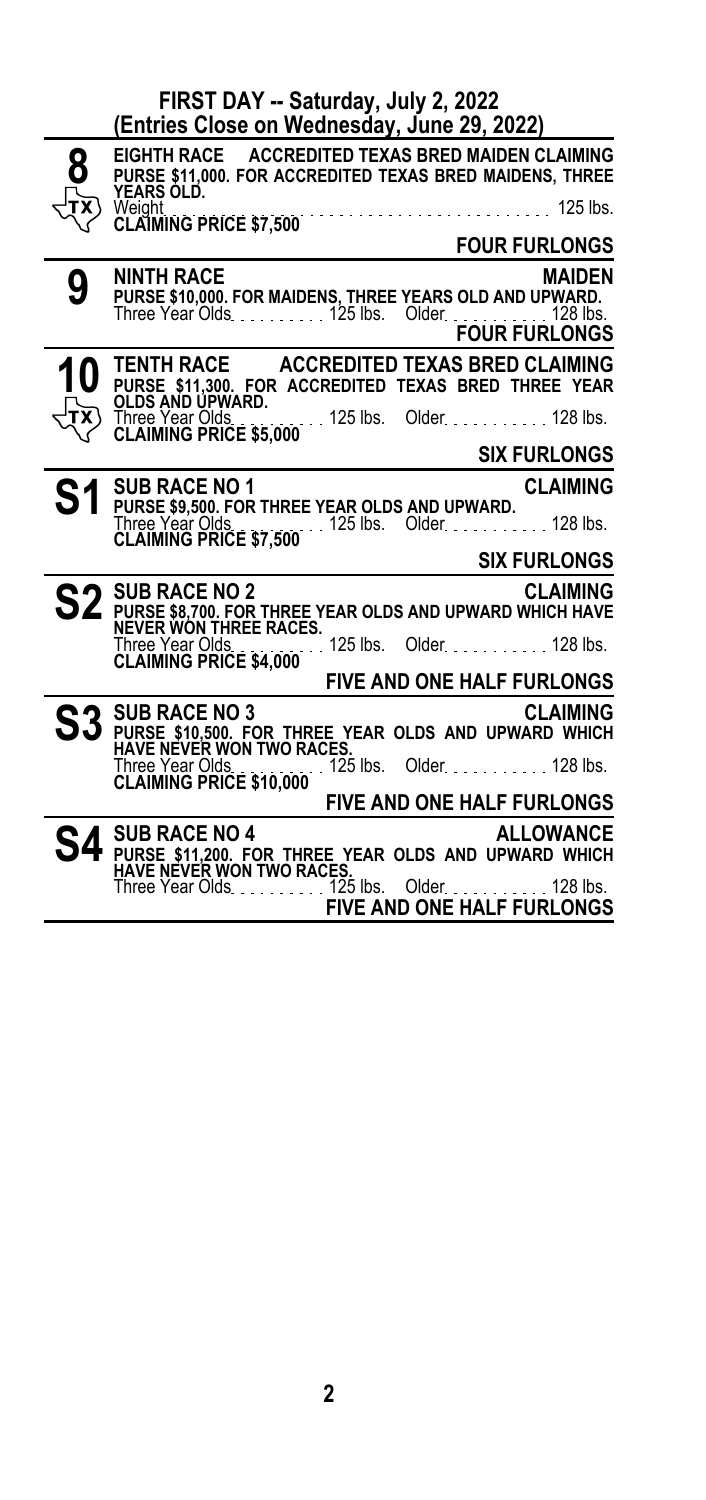|    | FIRST DAY -- Saturday, July 2, 2022                                                                                                                                 |
|----|---------------------------------------------------------------------------------------------------------------------------------------------------------------------|
|    | (Entries Close on Wednesday, June 29, 2022)                                                                                                                         |
| 8  | EIGHTH RACE ACCREDITED TEXAS BRED MAIDEN CLAIMING<br>PURSE \$11,000. FOR ACCREDITED TEXAS BRED MAIDENS, THREE<br><b>YEARS OLD.</b>                                  |
|    | Weight<br>CLAIMING PRICE \$7,500<br>Weight.                                                                                                                         |
|    | <b>FOUR FURLONGS</b>                                                                                                                                                |
| 9  | <b>NINTH RACE</b><br><b>MAIDEN</b><br>PURSE \$10,000. FOR MAIDENS, THREE YEARS OLD AND UPWARD.<br>Three Year Olds. 125 lbs. Older. 128 lbs.<br><b>FOUR FURLONGS</b> |
|    | TENTH RACE ACCREDITED TEXAS BRED CLAIMING<br>PURSE \$11,300. FOR ACCREDITED TEXAS BRED THREE YEAR                                                                   |
|    |                                                                                                                                                                     |
|    | <b>SIX FURLONGS</b>                                                                                                                                                 |
| S1 |                                                                                                                                                                     |
|    | <b>SIX FURLONGS</b>                                                                                                                                                 |
|    |                                                                                                                                                                     |
|    |                                                                                                                                                                     |
|    | <b>FIVE AND ONE HALF FURLONGS</b>                                                                                                                                   |
|    | S3 SUB RACE NO 3<br><b>CLAIMING</b><br>PURSE \$10,500. FOR THREE YEAR OLDS AND UPWARD WHICH HAVE NEVER WON TWO RACES.                                               |
|    | Three Year Olds<br>CLAIMING PRICE \$10,000                                                                                                                          |
|    | <b>FIVE AND ONE HALF FURLONGS</b>                                                                                                                                   |
|    | <b>SUB RACE NO 4</b><br><b>ALLOWANCE</b><br>PURSE \$11,200. FOR THREE YEAR OLDS AND UPWARD WHICH<br>HAVE NEVER WON TWO RACES.                                       |
|    | Three Year Olds. 125 lbs. Older. 128 lbs.<br><b>FIVE AND ONE HALF FURLONGS</b>                                                                                      |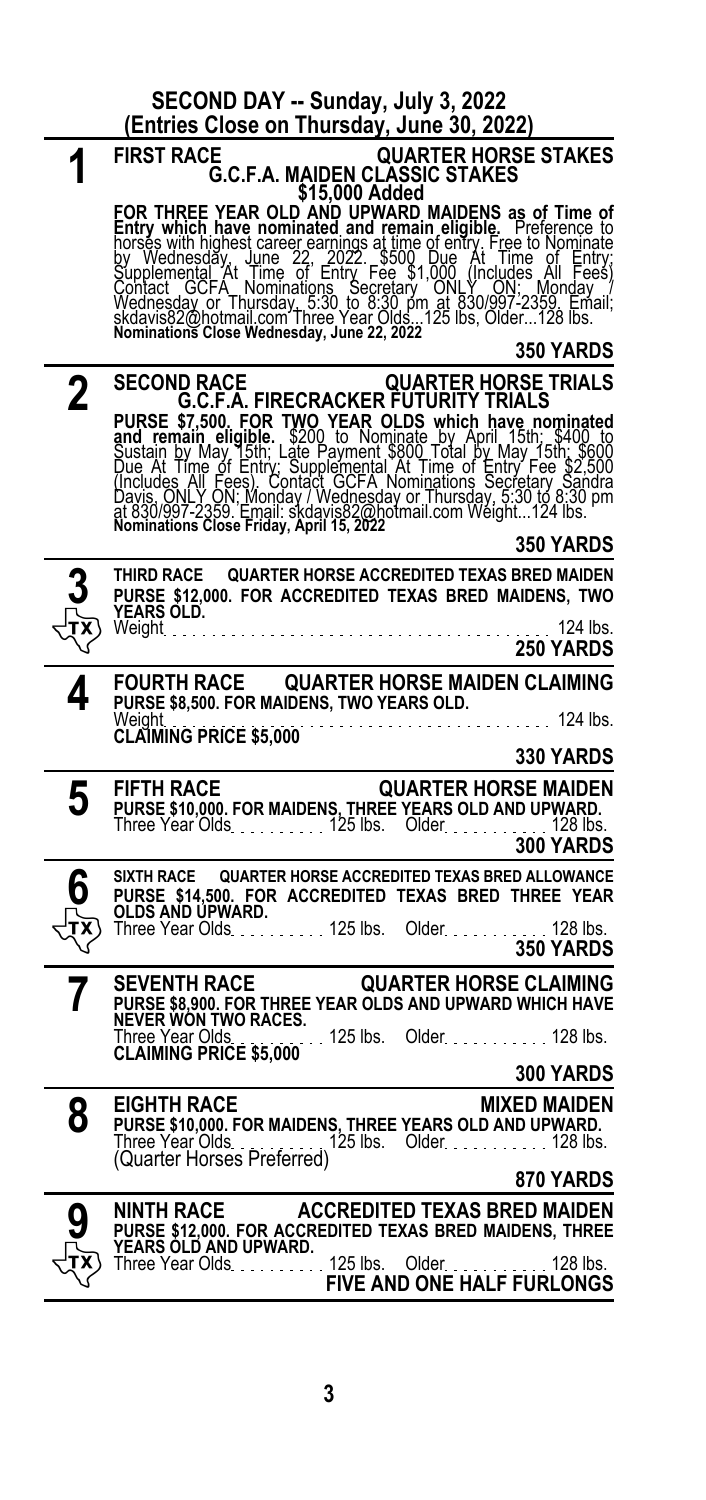|   | SECOND DAY -- Sunday, July 3, 2022<br>(Entries Close on Thursday, June 30, 2022)                                                                                                                                                                                                                                |
|---|-----------------------------------------------------------------------------------------------------------------------------------------------------------------------------------------------------------------------------------------------------------------------------------------------------------------|
|   | <b>FIRST RACE</b><br><b>QUARTER HORSE STAKES</b><br>G.C.F.A. MAIDEN CLASSIC STAKES                                                                                                                                                                                                                              |
|   | FOR THREE YEAR OLD AND UPWARD MAIDENS as of Time of<br>Entry which have nominated and remain eligible. Preference to<br>horses with highest career earnings at time of entry. Free to Nominate<br>by Wednesday, June 22, 2022. Fee \$1,0                                                                        |
|   | 350 YARDS                                                                                                                                                                                                                                                                                                       |
|   | SECOND RACE<br>G.C.F.A. FIRECRACKER FUTURITY TRIALS<br>URSE \$7,500. FOR TWO PARK FUTURITY IRIALS<br>and remain eligible. \$200 to Nominate by April 15th; \$400 to<br>Sustain by May 15th; Late Payment \$800. Total by May 15th; \$400 to<br>Due At Time of Entry; Supplemental At Time of Entry<br>350 YARDS |
|   | THIRD RACE QUARTER HORSE ACCREDITED TEXAS BRED MAIDEN                                                                                                                                                                                                                                                           |
|   | PURSE \$12,000. FOR ACCREDITED TEXAS BRED MAIDENS, TWO<br>YEARS ÓLD.<br>124 lbs.<br>Weight<br><b>250 YARDS</b>                                                                                                                                                                                                  |
|   | FOURTH RACE QUARTER HORSE MAIDEN CLAIMING<br>PURSE \$8,500. FOR MAIDENS, TWO YEARS OLD.<br>Weight the point of an interest in the contract of the 124 lbs.<br>Weight<br>CLAIMING PRICE \$5,000                                                                                                                  |
|   | <b>330 YARDS</b>                                                                                                                                                                                                                                                                                                |
| 5 | <b>QUARTER HORSE MAIDEN</b><br><b>FIFTH RACE</b><br>300 YARDS                                                                                                                                                                                                                                                   |
|   | SIXTH RACE QUARTER HORSE ACCREDITED TEXAS BRED ALLOWANCE<br>PURSE \$14,500. FOR ACCREDITED TEXAS BRED THREE YEAR<br>OLDS AND UPWARD.<br>Three Year Olds. 125 lbs. Older. 128 lbs.<br>350 YARDS                                                                                                                  |
|   | QUARTER HORSE CLAIMING<br><b>SEVENTH RACE</b>                                                                                                                                                                                                                                                                   |
|   |                                                                                                                                                                                                                                                                                                                 |
|   | <b>300 YARDS</b>                                                                                                                                                                                                                                                                                                |
| 8 | <b>EIGHTH RACE</b><br><b>MIXED MAIDEN</b><br>870 YARDS                                                                                                                                                                                                                                                          |
|   | <b>ACCREDITED TEXAS BRED MAIDEN</b><br><b>NINTH RACE</b>                                                                                                                                                                                                                                                        |
|   | FIVE AND ONE HALF FURLONGS                                                                                                                                                                                                                                                                                      |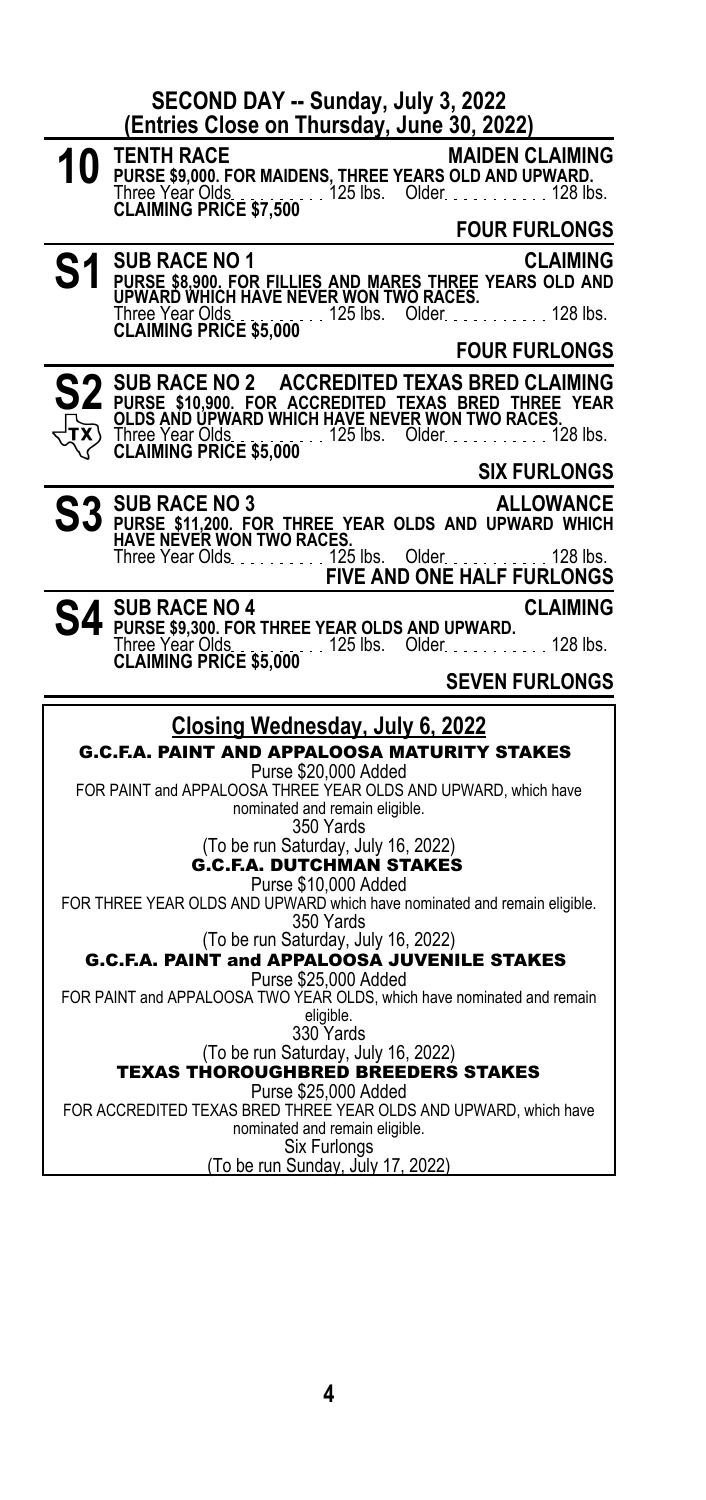### **SECOND DAY -- Sunday, July 3, 2022 (Entries Close on Thursday, June 30, 2022)**



**10 TENTH RACE**<br>**PURSE \$9,000. FOR MAIDENS, THREE YEARS OLD AND UPWARD.**<br>And three \$9,000. FOR MAIDENS, THREE YEARS OLD AND UPWARD. Three Year Olds. . . . . . . . . . 125 lbs. Older. . . . . . . . . . . 128 lbs. **CLAIMING PRICE \$7,500**

**FOUR FURLONGS**

**S1 SUB RACE NO 1 CLAIMING PURSE \$8,900. FOR FILLIES AND MARES THREE YEARS OLD AND UPWARD WHICH HAVE NEVER WON TWO RACES.** Three Year Olds 125 lbs. Older 128 lbs. **CLAIMING PRICE \$5,000**

**FOUR FURLONGS**

**S2** 48

# **SUB RACE NO 2 ACCREDITED TEXAS BRED CLAIMING PURSE \$10,900. FOR ACCREDITED TEXAS BRED THREE YEAR OLDS AND UPWARD WHICH HAVE NEVER WON TWO RACES.** Three Year Olds 125 lbs. Older 128 lbs. **CLAIMING PRICE \$5,000 SIX FURLONGS**

**S3** SUB RACE NO 3<br>**PURSE \$11,200. FOR THREE YEAR OLDS AND UPWARD WHICH**<br>HAVE NEVER WON TWO RACES. Three Year Olds 125 lbs. Older 128 lbs.

**FIVE AND ONE HALF FURLONGS**



**S4** SUB RACE NO 4<br>
Three Year Olds And Upward.<br>
CLAIMING PRICE \$5,000 125 lbs. Older 128 lbs. 128 lbs.<br>
CLAIMING PRICE \$5,000 125 lbs. Older 128 lbs.

**SEVEN FURLONGS**

# **Closing Wednesday, July 6, 2022**

G.C.F.A. PAINT AND APPALOOSA MATURITY STAKES

Purse \$20,000 Added

FOR PAINT and APPALOOSA THREE YEAR OLDS AND UPWARD, which have nominated and remain eligible.

350 Yards (To be run Saturday, July 16, 2022)

G.C.F.A. DUTCHMAN STAKES

Purse \$10,000 Added

FOR THREE YEAR OLDS AND UPWARD which have nominated and remain eligible. 350 Yards

(To be run Saturday, July 16, 2022)

G.C.F.A. PAINT and APPALOOSA JUVENILE STAKES

Purse \$25,000 Added FOR PAINT and APPALOOSA TWO YEAR OLDS, which have nominated and remain eligible.

330 Yards

(To be run Saturday, July 16, 2022)

TEXAS THOROUGHBRED BREEDERS STAKES

Purse \$25,000 Added

FOR ACCREDITED TEXAS BRED THREE YEAR OLDS AND UPWARD, which have nominated and remain eligible. Six Furlongs

(To be run Sunday, July 17, 2022)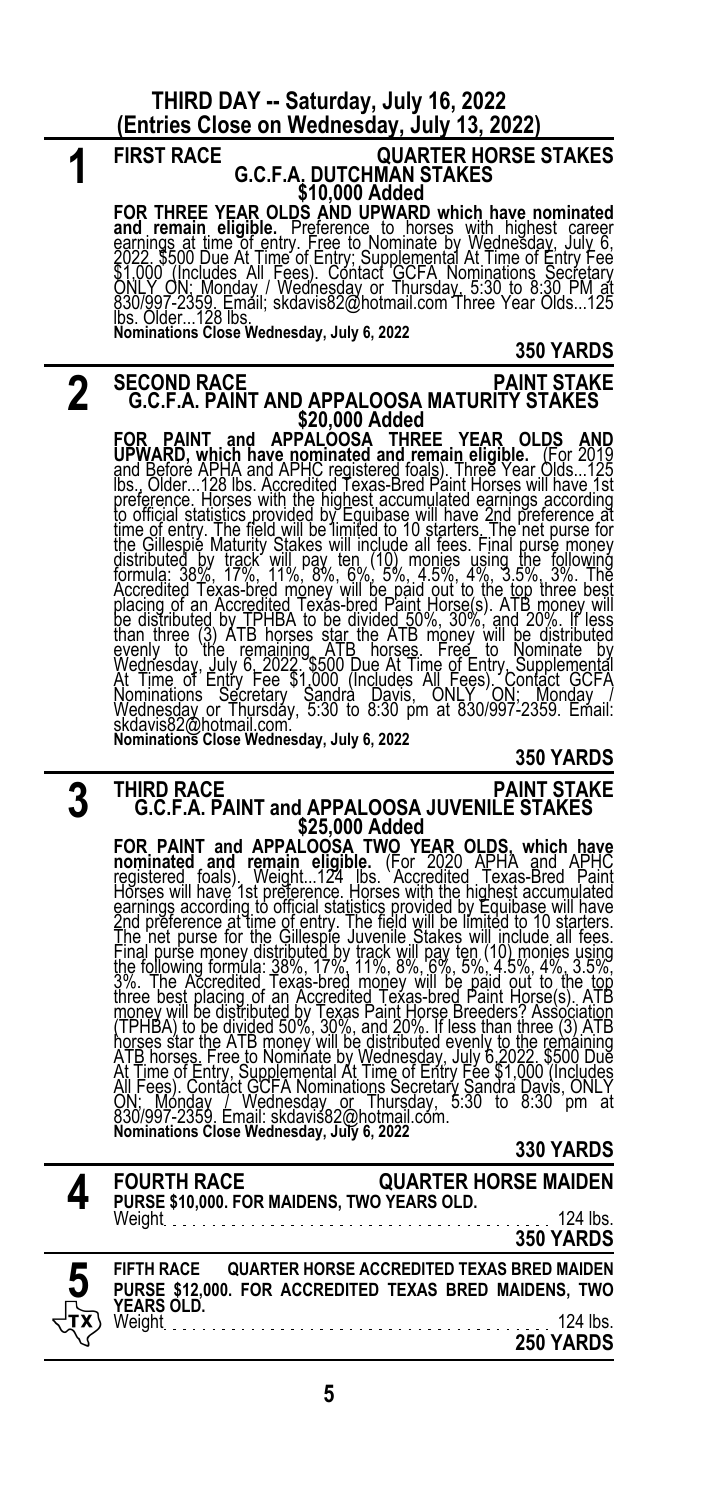## **THIRD DAY -- Saturday, July 16, 2022 (Entries Close on Wednesday, July 13, 2022)**

**1**

**4**

**5** 삼

### **FIRST RACE QUARTER HORSE STAKES G.C.F.A. DUTCHMAN STAKES \$10,000 Added**

FOR THREE YEAR OLDS AND UPWARD which have nominated<br>and remain eligible. Preference to horses with highest career<br>earnings at time of entry. Free to Nominate by Wednesday, July 6,<br>2022 \$500 Due At Time of Entry; Supplement

**350 YARDS**

# **2 SECOND RACE PAINT STAKE G.C.F.A. PAINT AND APPALOOSA MATURITY STAKES \$20,000 Added**

FOR PAINT and APPALOOSA THREE YEAR OLDS AND<br>und Before APHA and APPALOOSA THREE YEAR OLDS AND<br>and Before APHA and APHC registered foals). Three Year Olds...125<br>bls., Older...128 bls. Accredited Texas-Bred Paint Horses will

# **3 THIRD RACE PAINT STAKE G.C.F.A. PAINT and APPALOOSA JUVENILE STAKES \$25,000 Added**

FOR PAINT and APPALOOSA TWO YEAR OLDS, which have<br>nominated and remain eligible. (For 2020 APHA and APHC<br>registered foals). Weight...124 lbs. Accredited Texas-Bred Paint<br>Horses will have 1st preference. Horses with the hig

|                                                                                                                                     | 330 YARDS                                       |
|-------------------------------------------------------------------------------------------------------------------------------------|-------------------------------------------------|
| <b>FOURTH RACE</b>                                                                                                                  | <b>QUARTER HORSE MAIDEN</b><br><b>350 YARDS</b> |
| FIFTH RACE       QUARTER HORSE ACCREDITED TEXAS BRED MAIDEN<br>PURSE \$12,000. FOR ACCREDITED TEXAS BRED MAIDENS, TWO<br>YEARS OLD. |                                                 |
|                                                                                                                                     | 250 YARDS                                       |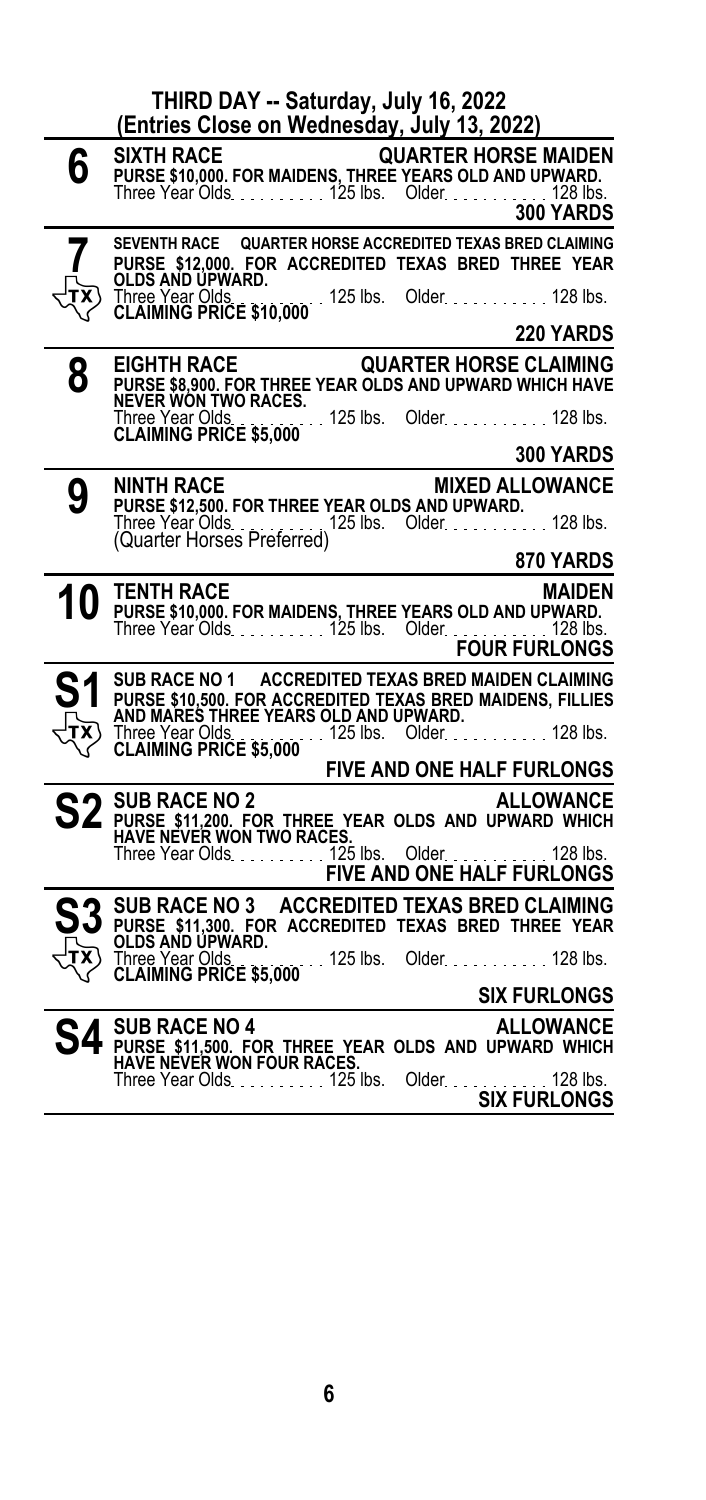|    | THIRD DAY -- Saturday, July 16, 2022<br>(Entries Close on Wednesday, July 13, 2022)                                                                                                                                            |
|----|--------------------------------------------------------------------------------------------------------------------------------------------------------------------------------------------------------------------------------|
| 6  | <b>QUARTER HORSE MAIDEN</b><br><b>SIXTH RACE</b><br>PURSE \$10,000. FOR MAIDENS, THREE YEARS OLD AND UPWARD.<br>Three Year Olds. 125 lbs. Older. 128 lbs.<br><b>300 YARDS</b>                                                  |
|    | SEVENTH RACE QUARTER HORSE ACCREDITED TEXAS BRED CLAIMING<br>PURSE \$12,000. FOR ACCREDITED TEXAS BRED THREE YEAR                                                                                                              |
| 8  | UNIFIED AT A CHEMIC STATES TO A CHARGE SERVED AND THE POST OF THE POST OF PURSE SA SOLO PURSE SA SOLO PURSE SA SOLO PURSE TO A NEW YORK THAT A MELTIC THE PURSE SA SOLO PURSE THAT THE THE VEHICLE THAT THE THE VEHICLE THAT T |
| 9  | MIXED ALLOWANCE<br><b>NINTH RACE</b><br><u>2006 - Albert State Barnett Barnett Barnett Barnett Barnett Barnett Barnett Barnett Barnett Barnett Barnett B</u>                                                                   |
| 10 | <b>TENTH RACE</b><br><b>MAIDEN</b><br><b>FOUR FURLONGS</b>                                                                                                                                                                     |
|    | SUB RACE NO 1 ACCREDITED TEXAS BRED MAIDEN CLAIMING<br><b>FIVE AND ONE HALF FURLONGS</b>                                                                                                                                       |
|    | SUB RACE NO 2 ALLOWANCE<br><b>S2</b> SUB RACE NO 2<br>PURSE \$11,200, FOR THREE YEAR OLDS AND UPWARD WHICH<br>HAVE NEVER WON TWO RACES.<br>Three Year Olds. 125 lbs. Older. 128 lbs.<br>FIVE AND ONE HALF FURLONGS             |
|    | SUB RACE NO 3 ACCREDITED TEXAS BRED CLAIMING<br>PURSE \$11,300. FOR ACCREDITED TEXAS BRED THREE YEAR<br>OLDS AND UPWARD.<br>Three Year Olds.<br>CLAIMING PRICE \$5,000 125 lbs. Older 128 lbs.<br>SIX FURLONGS                 |
|    | <b>SUB RACE NO 4</b><br>ALLOWANCE<br>PURSE \$11,500, FOR THREE YEAR OLDS AND UPWARD WHICH<br>HAVE NEVER WON FOUR RACES.<br>Three Year Olds 125 lbs. Older128 lbs.<br><b>SIX FURLONGS</b>                                       |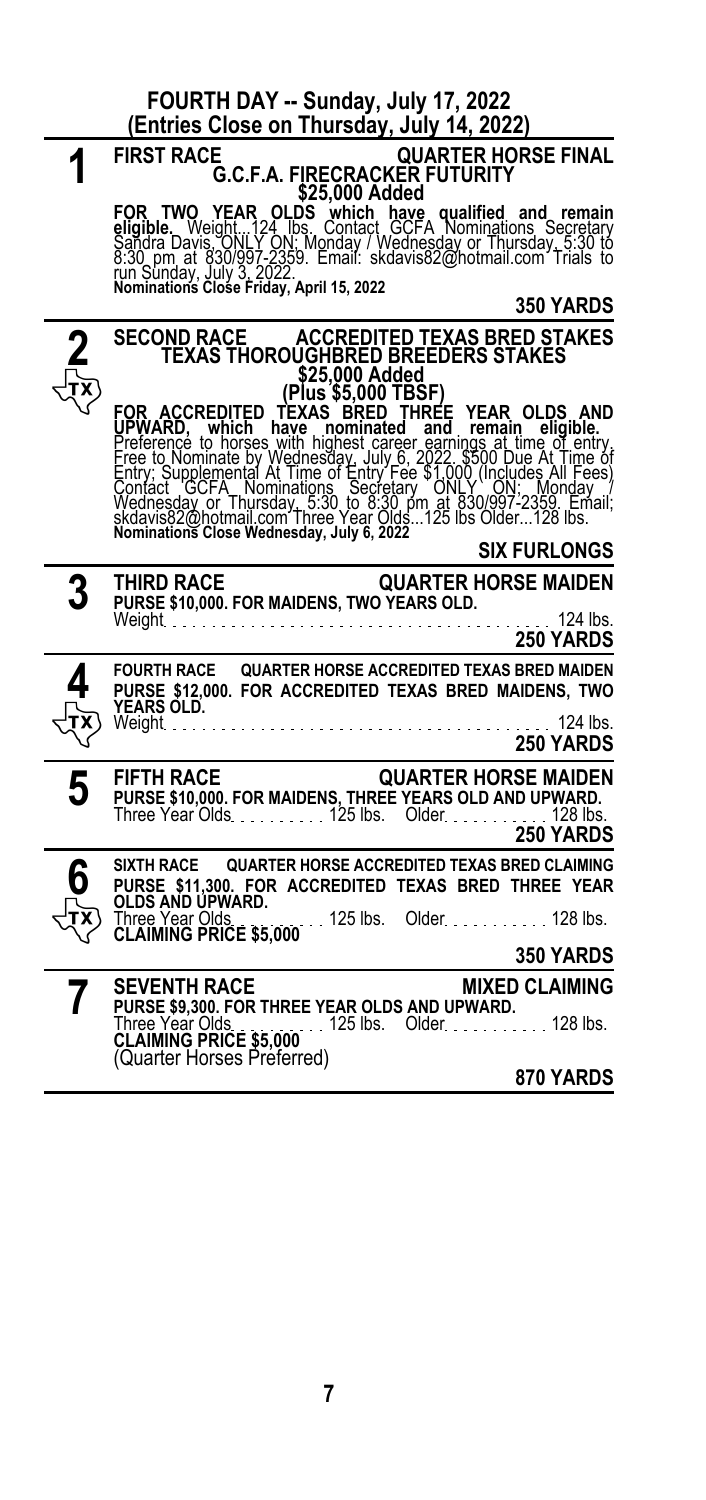|   | FOURTH DAY -- Sunday, July 17, 2022                                                                                                                                                                                                                 |
|---|-----------------------------------------------------------------------------------------------------------------------------------------------------------------------------------------------------------------------------------------------------|
|   | (Entries Close on Thursday, July 14, 2022)                                                                                                                                                                                                          |
|   | <b>QUARTER HORSE FINAL</b><br><b>FIRST RACE</b><br><b>G.C.F.A. FIRECRACKER FUTURITY</b><br>\$25,000 Added                                                                                                                                           |
|   | FOR TWO YEAR OLDS which have qualified and remain<br>eligible. Weight124 lbs. Contact GCFA Nominations Secretary<br>Sandra Davis ONLY ON: Monday / Wednesday or Thursday 5:30 to<br>8:30 pm at 830/997-2359. Email: skdavis82@hotmai                |
|   | 350 YARDS                                                                                                                                                                                                                                           |
|   | SECOND RACE ACCREDITED TEXAS BRED STAKES<br>TEXAS THOROUGHBRED BREEDERS STAKES<br>\$25,000 Added                                                                                                                                                    |
|   | <b>FOR ACCREDITED TEXAS BRED THREE YEAR OLDS AND PIVARD.</b><br>The Preference to horses with highest career earnings at time of entry.<br>Preference to horses with highest career earnings at time of entry.<br>Free to Nominate by Wedne         |
|   | <b>SIX FURLONGS</b>                                                                                                                                                                                                                                 |
| 3 | <b>QUARTER HORSE MAIDEN</b><br><b>THIRD RACE</b>                                                                                                                                                                                                    |
|   | 250 YARDS                                                                                                                                                                                                                                           |
|   | FOURTH RACE QUARTER HORSE ACCREDITED TEXAS BRED MAIDEN<br>PURSE \$12,000. FOR ACCREDITED TEXAS BRED MAIDENS, TWO<br>YEARS OLD.                                                                                                                      |
|   | <b>250 YARDS</b>                                                                                                                                                                                                                                    |
| 5 | <b>QUARTER HORSE MAIDEN</b><br><b>FIFTH RACE</b><br>PURSE \$10,000. FOR MAIDENS, THREE YEARS OLD AND UPWARD.<br>Three Year Olds. 125 lbs. Older. 128 lbs.<br>250 YARDS                                                                              |
|   | SIXTH RACE QUARTER HORSE ACCREDITED TEXAS BRED CLAIMING<br>PURSE \$11,300. FOR ACCREDITED TEXAS BRED THREE YEAR<br>OLDS AND ÚPWARD.                                                                                                                 |
|   |                                                                                                                                                                                                                                                     |
|   | <b>350 YARDS</b>                                                                                                                                                                                                                                    |
|   | <b>MIXED CLAIMING</b><br><b>SEVENTH RACE</b><br>PURSE \$9,300. FOR THREE YEAR OLDS AND UPWARD.<br>Three Year Olds<br>CLAIMING PRICE \$5,000 125 lbs. Older 128 lbs.<br>CLAIMING PRICE \$5,000 125 lbs. Older 128 lbs.<br>(Quarter Horses Preferred) |

**870 YARDS**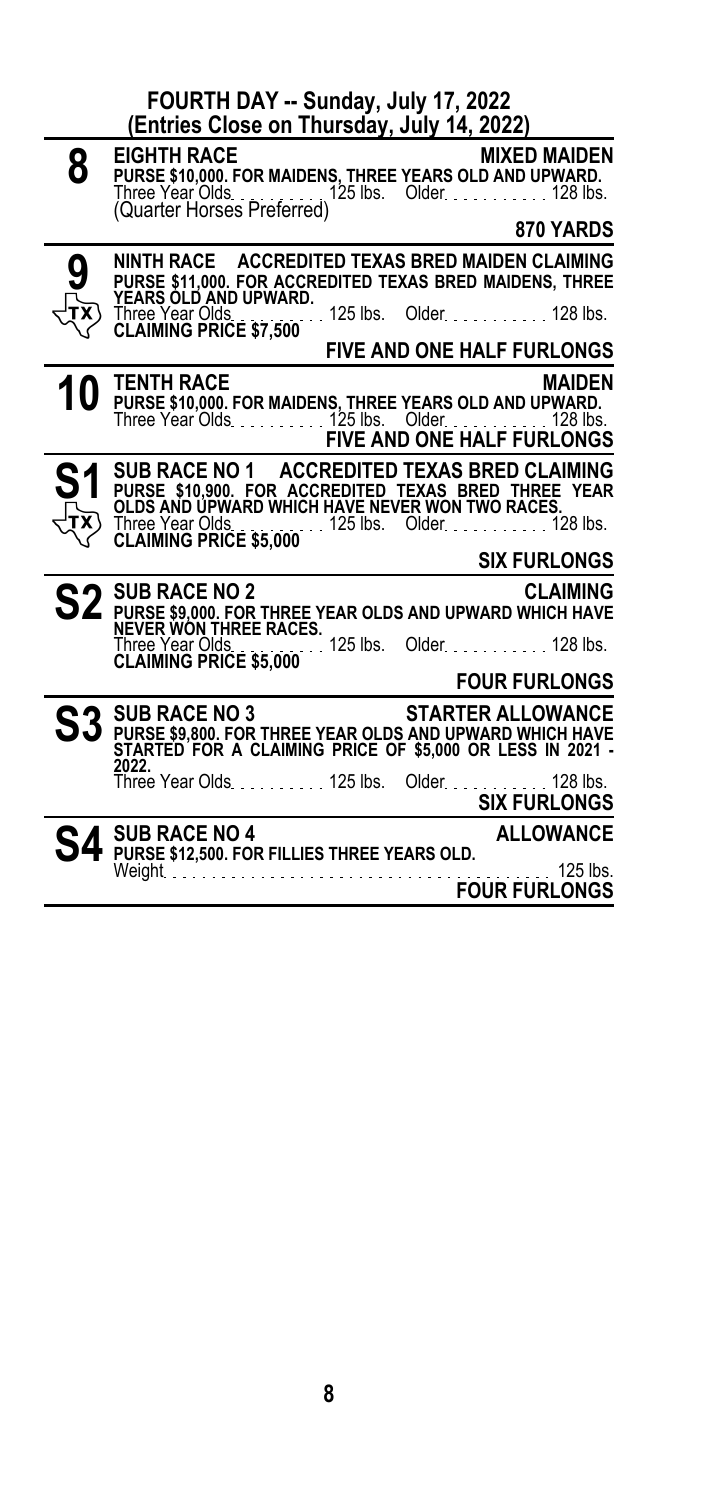|         | FOURTH DAY -- Sunday, July 17, 2022<br>(Entries Close on Thursday, July 14, 2022)                                                                                                                                                                                |
|---------|------------------------------------------------------------------------------------------------------------------------------------------------------------------------------------------------------------------------------------------------------------------|
| 8       | <b>MIXED MAIDEN</b><br><b>EIGHTH RACE</b><br>870 YARDS                                                                                                                                                                                                           |
| 9<br>TХ | NINTH RACE ACCREDITED TEXAS BRED MAIDEN CLAIMING<br>PURSE \$11,000. FOR ACCREDITED TEXAS BRED MAIDENS, THREE<br>YEARS OLD AND UPWARD.<br><b>FIVE AND ONE HALF FURLONGS</b>                                                                                       |
| 10      | <b>TENTH RACE</b><br><b>MAIDEN</b><br>PURSE \$10,000. FOR MAIDENS, THREE YEARS OLD AND UPWARD.<br><b>FIVE AND ONE HALF FURLONGS</b>                                                                                                                              |
| т双      | SUB RACE NO 1 ACCREDITED TEXAS BRED CLAIMING<br>PURSE \$10,900. FOR ACCREDITED TEXAS BRED THREE YEAR<br>OLDS AND UPWARD WHICH HAVE NEVER WON TWO RACES.<br><b>SIX FURLONGS</b>                                                                                   |
| S2      | <b>SUB RACE NO 2</b><br><b>CLAIMING</b><br>PURSE \$9,000. FOR THREE YEAR OLDS AND UPWARD WHICH HAVE<br>NEVER WON THREE RACES.<br><b>FOUR FURLONGS</b>                                                                                                            |
| S3      | <b>SUB RACE NO 3</b><br><b>STARTER ALLOWANCE</b><br>PURSE \$9,800. FOR THREE YEAR OLDS AND UPWARD WHICH HAVE<br>STARTED FOR A CLAIMING PRICE OF \$5,000 OR LESS IN 2021 -<br>2022.<br>-----<br>Three Year Olds. 125 lbs.  Older. 128 lbs.<br><b>SIX FURLONGS</b> |
|         | <b>SUB RACE NO 4</b><br><b>ALLOWANCE</b><br><b>FOUR FURLONGS</b>                                                                                                                                                                                                 |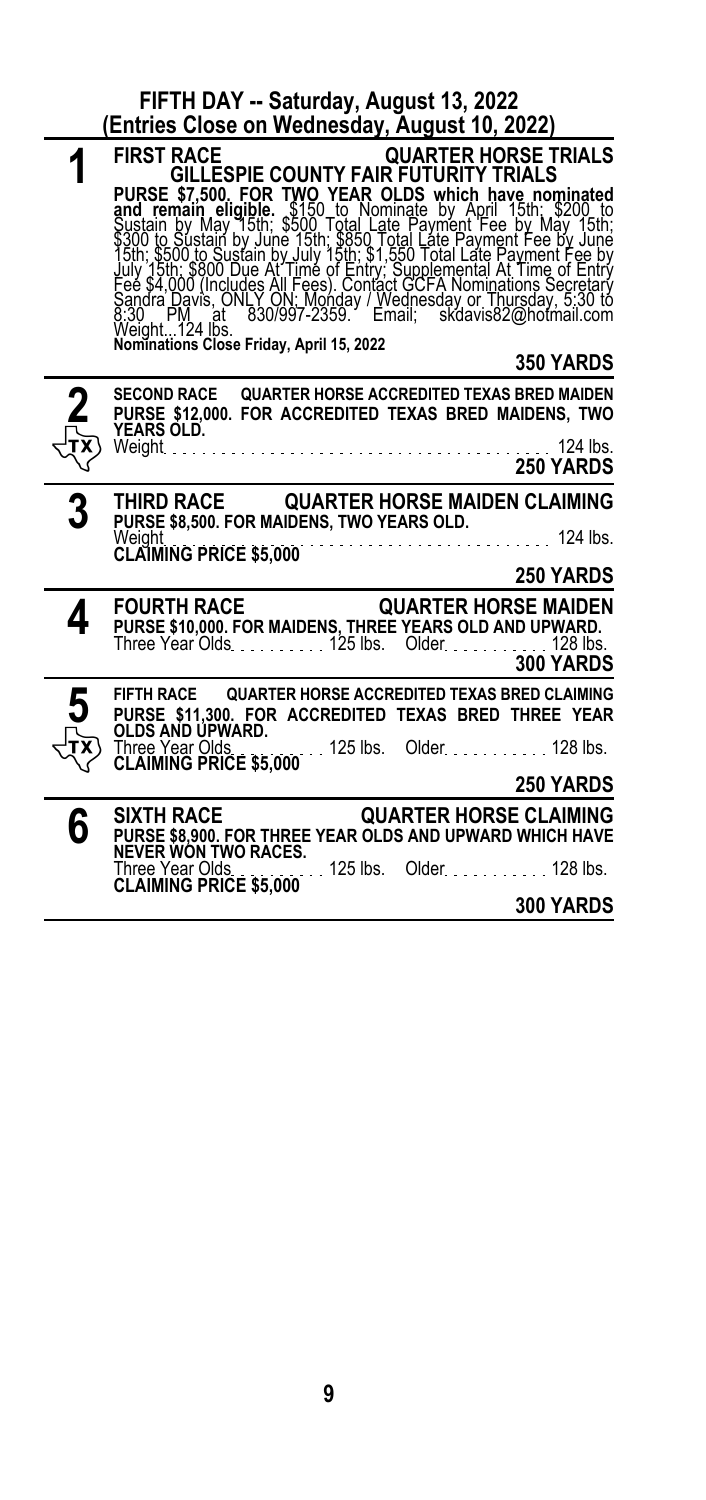|   | FIFTH DAY -- Saturday, August 13, 2022                                                                                                                                                                                                                                                                                                            |
|---|---------------------------------------------------------------------------------------------------------------------------------------------------------------------------------------------------------------------------------------------------------------------------------------------------------------------------------------------------|
|   | (Entries Close on Wednesday, August 10, 2022)                                                                                                                                                                                                                                                                                                     |
| 1 | <b>QUARTER HORSE TRIALS</b><br>FIRST RACE<br>GILLESPIE COUNTY FAIR FUTURITY TRIALS<br><b>BILLESPIE COUNTIFIT TRIAL TRIALS PRESSURE ST. 500. FOR TWO YEAR OLDS which have nominated and remain eligible.</b> \$150 to Nominate by April 15th; \$200 to \$300 to Sustain by June 15th; \$550 Total Late Payment Fee by June 15t<br><b>350 YARDS</b> |
|   | SECOND RACE QUARTER HORSE ACCREDITED TEXAS BRED MAIDEN                                                                                                                                                                                                                                                                                            |
|   | PURSE \$12,000. FOR ACCREDITED TEXAS BRED MAIDENS, TWO<br><b>YEARS OLD.</b>                                                                                                                                                                                                                                                                       |
|   | 250 YARDS                                                                                                                                                                                                                                                                                                                                         |
|   | THIRD RACE QUARTER HORSE MAIDEN CLAIMING                                                                                                                                                                                                                                                                                                          |
|   | PURSE \$8,500. FOR MAIDENS, TWO YEARS OLD.<br>Weight<br>CLAIMING PRICE \$5,000                                                                                                                                                                                                                                                                    |
|   | <b>250 YARDS</b>                                                                                                                                                                                                                                                                                                                                  |
| 4 | <b>300 YARDS</b>                                                                                                                                                                                                                                                                                                                                  |
|   | FIFTH RACE QUARTER HORSE ACCREDITED TEXAS BRED CLAIMING                                                                                                                                                                                                                                                                                           |
|   | PURSE \$11,300. FOR ACCREDITED TEXAS BRED THREE YEAR                                                                                                                                                                                                                                                                                              |
|   | <b>250 YARDS</b>                                                                                                                                                                                                                                                                                                                                  |
|   |                                                                                                                                                                                                                                                                                                                                                   |
| 6 | 250 YARDS<br>SIXTH RACE QUARTER HORSE CLAIMING<br>PURSE \$8,900. FOR THREE YEAR OLDS AND UPWARD WHICH HAVE<br>NEVER WON TWO RACES.                                                                                                                                                                                                                |
|   | Three Year Olds<br>CLAIMING PRICE \$5,000 125 lbs. Older 128 lbs.                                                                                                                                                                                                                                                                                 |
|   | <b>300 YARDS</b>                                                                                                                                                                                                                                                                                                                                  |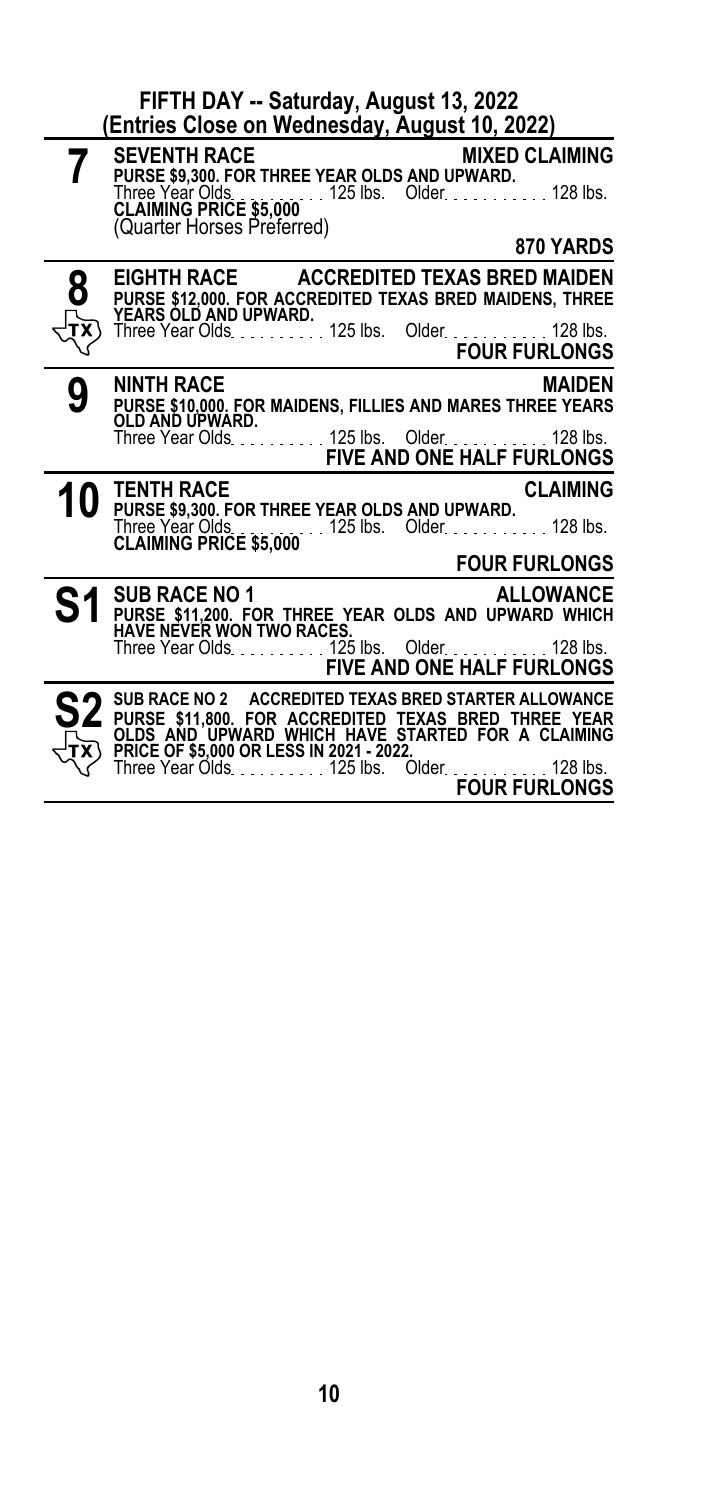|         | FIFTH DAY -- Saturday, August 13, 2022<br>(Entries Close on Wednesday, August 10, 2022) |                                                                                                                                                                                                                                                                            |
|---------|-----------------------------------------------------------------------------------------|----------------------------------------------------------------------------------------------------------------------------------------------------------------------------------------------------------------------------------------------------------------------------|
|         | <b>SEVENTH RACE</b><br>(Quarter Horses Preferred)                                       | <b>MIXED CLAIMING</b><br>PURSE \$9,300. FOR THREE YEAR OLDS AND UPWARD.<br>Three Year Olds. 125 lbs. Older. 128 lbs.<br>CLAIMING PRICE \$5,000<br>870 YARDS                                                                                                                |
| 8<br>τх |                                                                                         | EIGHTH RACE ACCREDITED TEXAS BRED MAIDEN<br>PURSE \$12,000. FOR ACCREDITED TEXAS BRED MAIDENS, THREE<br>YEARS OLD AND UPWARD.<br>Three Year Olds. 125 lbs. Older. 128 lbs.<br><b>FOUR FURLONGS</b>                                                                         |
| 9       | <b>NINTH RACE</b>                                                                       | <b>MAIDEN</b><br>PURSE \$10,000. FOR MAIDENS, FILLIES AND MARES THREE YEARS<br>FIVE AND ONE HALF FURLONGS                                                                                                                                                                  |
| 10      | <b>TENTH RACE</b>                                                                       | <b>CLAIMING</b><br>PURSE \$9,300. FOR THREE YEAR OLDS AND UPWARD.<br>Three Year Olds. 125 lbs. Older. 128 lbs. CLAIMING PRICE \$5,000<br><b>FOUR FURLONGS</b>                                                                                                              |
|         | SUB RACE NO 1                                                                           | <b>ALLOWANCE</b><br>PURSE \$11,200. FOR THREE YEAR OLDS AND UPWARD WHICH<br>HAVE NEVER WON TWO RACES.<br>Three Year Olds 125 lbs Older 128 lbs.<br><b>FIVE AND ONE HALF FURLONGS</b>                                                                                       |
|         |                                                                                         | SUB RACE NO 2 ACCREDITED TEXAS BRED STARTER ALLOWANCE<br>SUB RACE NO 2 AUCKEDITED TEAM DINE CONTROL THE YEAR<br>OLDS AND UPWARD WHICH HAVE STARTED FOR A CLAIMING<br>TX PRICE OF \$5,000 OR LESS IN 2021 - 2022.<br>Three Year Olds 125 lbs. Older<br><b>FOUR FURLONGS</b> |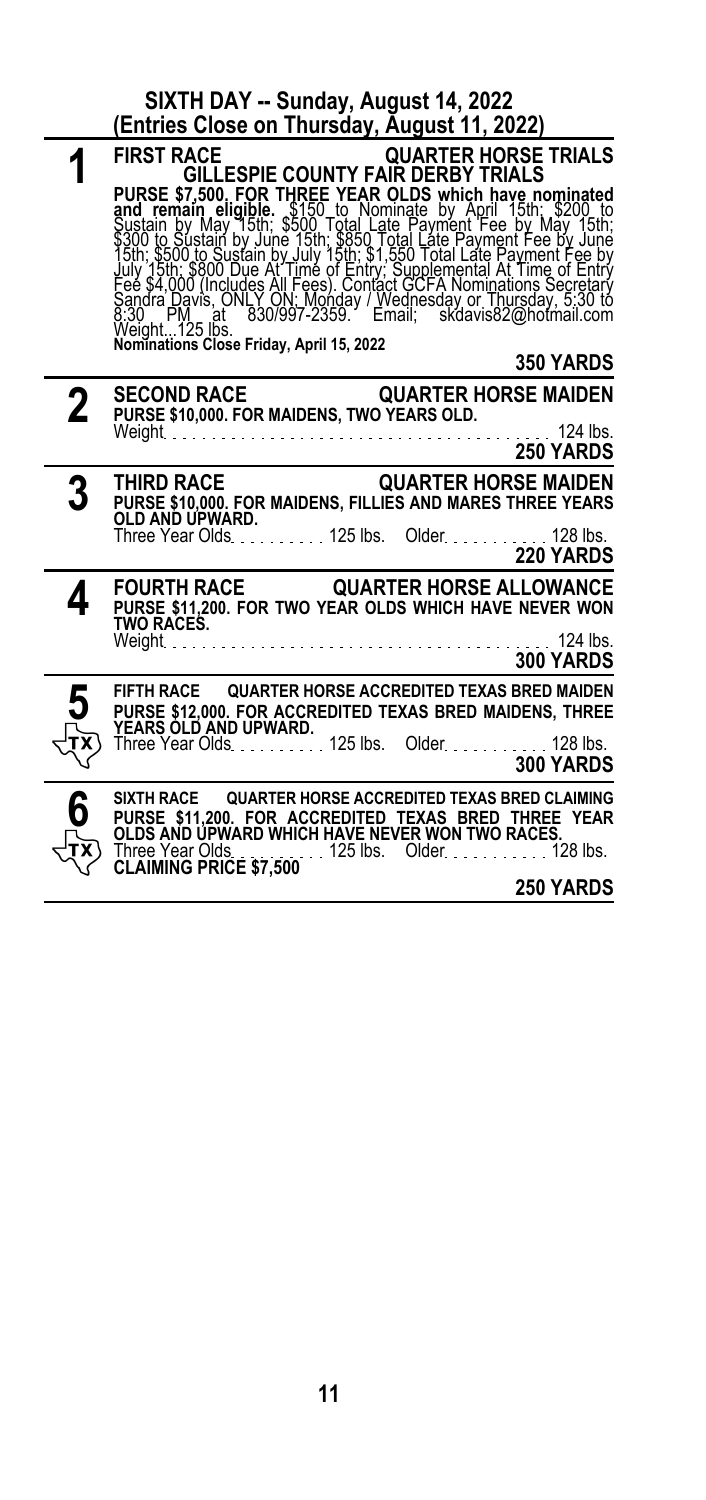|   | SIXTH DAY -- Sunday, August 14, 2022                                                                                                                                                                                                                                                                                                                                     |
|---|--------------------------------------------------------------------------------------------------------------------------------------------------------------------------------------------------------------------------------------------------------------------------------------------------------------------------------------------------------------------------|
|   | (Entries Close on Thursday, August 11, 2022)                                                                                                                                                                                                                                                                                                                             |
| 1 | <b>QUARTER HORSE TRIALS</b><br>FIRST RACE QUARTER HORSE<br>GILLESPIE COUNTY FAIR DERBY TRIALS<br><b>PURSE \$7,500. FOR THREE YEAR DLDS which have nominated</b><br>and remain eligible. \$150 to Nominate by April 15th, \$200 to<br>\$300 to Sustain by May 15th; \$500 Total Late Payment Fee by May 15th;<br>\$300 to Sustain by June 15th; \$650<br><b>350 YARDS</b> |
|   |                                                                                                                                                                                                                                                                                                                                                                          |
| 2 |                                                                                                                                                                                                                                                                                                                                                                          |
| 3 | THIRD RACE QUARTER HORSE MAIDEN<br>PURSE \$10,000. FOR MAIDENS, FILLIES AND MARES THREE YEARS                                                                                                                                                                                                                                                                            |
| 4 | <b>FOURTH RACE<br/>FOURTH RACE QUARTER HORSE ALLOWANCE</b><br>PURSE \$11,200. FOR TWO YEAR OLDS WHICH HAVE NEVER WON<br><b>300 YARDS</b>                                                                                                                                                                                                                                 |
|   | FIFTH RACE QUARTER HORSE ACCREDITED TEXAS BRED MAIDEN<br>PURSE \$12,000. FOR ACCREDITED TEXAS BRED MAIDENS, THREE YEARS OLD AND UPWARD.<br>YEARS OLD AND UPWARD.<br>Three Year Olds. 125 lbs. Older. 128 lbs.<br><b>300 YARDS</b>                                                                                                                                        |
|   | SIXTH RACE QUARTER HORSE ACCREDITED TEXAS BRED CLAIMING<br>PURSE \$11,200. FOR ACCREDITED TEXAS BRED THREE YEAR<br>OLDS AND UPWARD WHICH HAVE NEVER WON TWO RACES.<br>250 YARDS                                                                                                                                                                                          |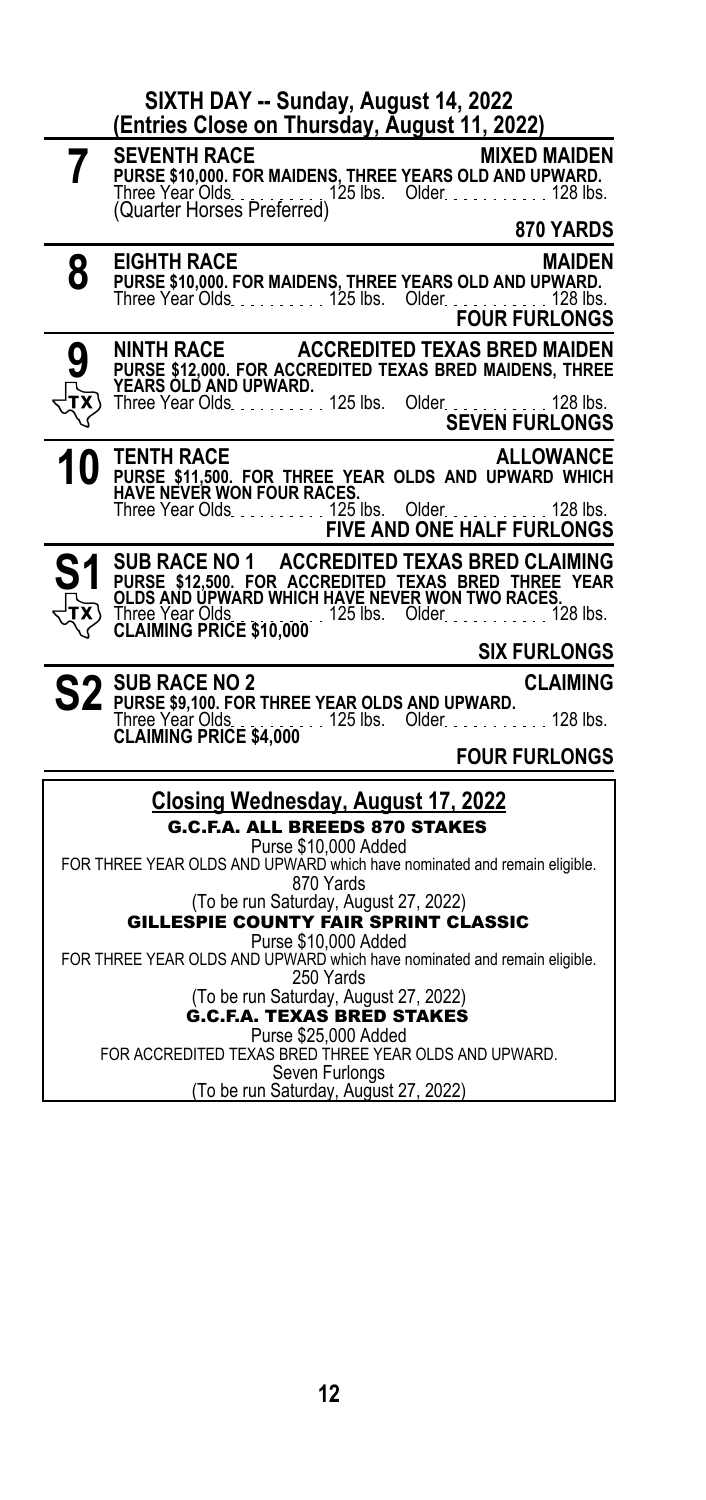|   | SIXTH DAY -- Sunday, August 14, 2022<br>(Entries Close on Thursday, August 11, 2022)                                                                                                                                                                                                                                        |                                                                                                                                                                                             |
|---|-----------------------------------------------------------------------------------------------------------------------------------------------------------------------------------------------------------------------------------------------------------------------------------------------------------------------------|---------------------------------------------------------------------------------------------------------------------------------------------------------------------------------------------|
|   | <b>SEVENTH RACE</b>                                                                                                                                                                                                                                                                                                         | <b>MIXED MAIDEN</b>                                                                                                                                                                         |
|   |                                                                                                                                                                                                                                                                                                                             | 870 YARDS                                                                                                                                                                                   |
| 8 | <b>EIGHTH RACE</b>                                                                                                                                                                                                                                                                                                          | <b>MAIDEN</b><br>PURSE \$10,000. FOR MAIDENS, THREE YEARS OLD AND UPWARD.<br>Three Year Olds. 125 lbs.                                Older. 128 lbs.<br><b>FOUR FURLONGS</b>               |
|   | <b>NINTH RACE</b>                                                                                                                                                                                                                                                                                                           | <b>ACCREDITED TEXAS BRED MAIDEN</b><br>PURSE \$12,000, FOR ACCREDITED TEXAS BRED MAIDENS, THREE<br>YEARS OLD AND UPWARD.<br>Three Year Olds 125 lbs. Older128 lbs.<br><b>SEVEN FURLONGS</b> |
|   | <b>TENTH RACE</b>                                                                                                                                                                                                                                                                                                           | <b>ALLOWANCE</b><br>PURSE \$11,500. FOR THREE YEAR OLDS AND UPWARD WHICH<br>HAVE NEVER WON FOUR RACES.<br>FIVE AND ONE HALF FURLONGS                                                        |
|   |                                                                                                                                                                                                                                                                                                                             | SUB RACE NO 1 ACCREDITED TEXAS BRED CLAIMING<br><b>SIX FURLONGS</b>                                                                                                                         |
|   | SUB RACE NO 2<br>PURSE \$9,100. FOR THREE YEAR OLDS AND UPWARD.                                                                                                                                                                                                                                                             | <b>CLAIMING</b><br><b>FOUR FURLONGS</b>                                                                                                                                                     |
|   | Closing Wednesday, August 17, 2022                                                                                                                                                                                                                                                                                          |                                                                                                                                                                                             |
|   | <b>G.C.F.A. ALL BREEDS 870 STAKES</b><br>Purse \$10,000 Added<br>FOR THREE YEAR OLDS AND UPWARD which have nominated and remain eligible.<br>870 Yards<br>(To be run Saturday, August 27, 2022)                                                                                                                             |                                                                                                                                                                                             |
|   | <b>GILLESPIE COUNTY FAIR SPRINT CLASSIC</b><br>Purse \$10,000 Added<br>FOR THREE YEAR OLDS AND UPWARD which have nominated and remain eligible.<br>250 Yards<br>(To be run Saturday, August 27, 2022)<br><b>G.C.F.A. TEXAS BRED STAKES</b><br>Purse \$25,000 Added<br>FOR ACCREDITED TEXAS BRED THREE YEAR OLDS AND UPWARD. |                                                                                                                                                                                             |
|   | Seven Furlonas<br>(To be run Saturday, August 27, 2022)                                                                                                                                                                                                                                                                     |                                                                                                                                                                                             |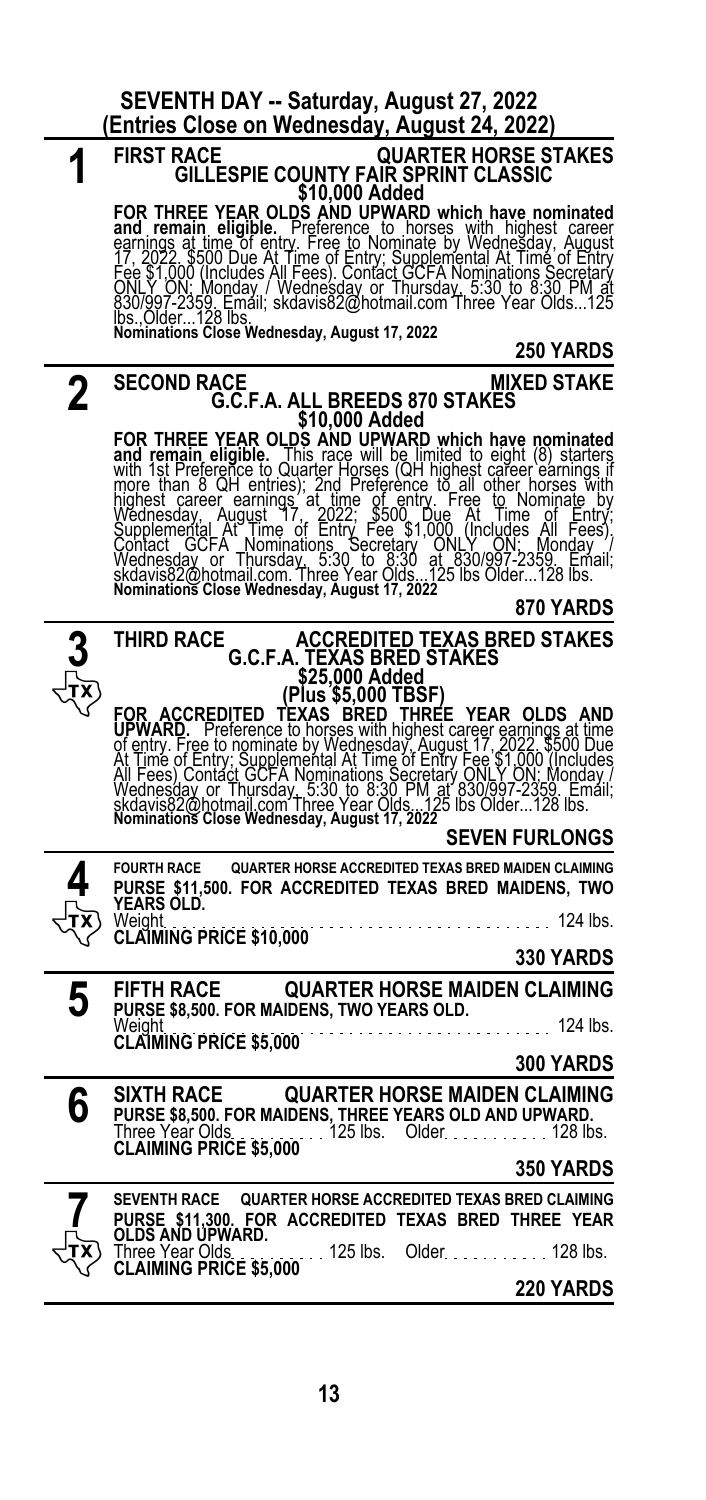**SEVENTH DAY -- Saturday, August 27, 2022 (Entries Close on Wednesday, August 24, 2022)**



### **FIRST RACE QUARTER HORSE STAKES GILLESPIE COUNTY FAIR SPRINT CLASSIC \$10,000 Added**

FOR THREE YEAR OLDS AND UPWARD which have nominated<br>and remain eligible. Preference to horses with highest career<br>earnings at time of entry. Free to Nominate by Wednesday, August<br>17, 2022, \$500 Due At Time of Entry, Supple

**250 YARDS**

### **2 SECOND RACE MIXED STAKE G.C.F.A. ALL BREEDS 870 STAKES \$10,000 Added**

FOR THREE YEAR OLDS AND UPWARD which have nominated<br>and remain eligible. This race will be limited to eight (8) starters<br>with 1st Preference to Quarter Horses (QH highest career earnings if<br>more than 8 QH entires); 2nd Pre **Nominations Close Wednesday, August 17, 2022 870 YARDS**

**3** 48

**4**

**5**

**6**

THIRD RACE **ACCREDITED TEXAS BRED STAKES**<br> **G.C.F.A. S25,000 Added**<br> **FOR ACCREDITED TEXAS BRED THREE YEAR OLDS AND**<br> **FOR ACCREDITED TEXAS BRED THREE YEAR OLDS AND**<br> **OF WARD.** Preference to hores with highest career earn **SEVEN FURLONGS** 48 **FOURTH RACE QUARTER HORSE ACCREDITED TEXAS BRED MAIDEN CLAIMING PURSE \$11,500. FOR ACCREDITED TEXAS BRED MAIDENS, TWO YEARS OLD.** Weight<br>**CLAIMING PRICE \$10,000** 124 lbs. **330 YARDS FIFTH RACE QUARTER HORSE MAIDEN CLAIMING PURSE \$8,500. FOR MAIDENS, TWO YEARS OLD.** Weight 124 lbs. **CLAIMING PRICE \$5,000 300 YARDS SIXTH RACE QUARTER HORSE MAIDEN CLAIMING PURSE \$8,500. FOR MAIDENS, THREE YEARS OLD AND UPWARD.** Three Year Olds 125 lbs. Older 128 lbs. **CLAIMING PRICE \$5,000 350 YARDS**



**SEVENTH RACE QUARTER HORSE ACCREDITED TEXAS BRED CLAIMING PURSE \$11,300. FOR ACCREDITED TEXAS BRED THREE YEAR OLDS AND UPWARD.** Three Year Olds 125 lbs. Older 128 lbs. **CLAIMING PRICE \$5,000**

### **220 YARDS**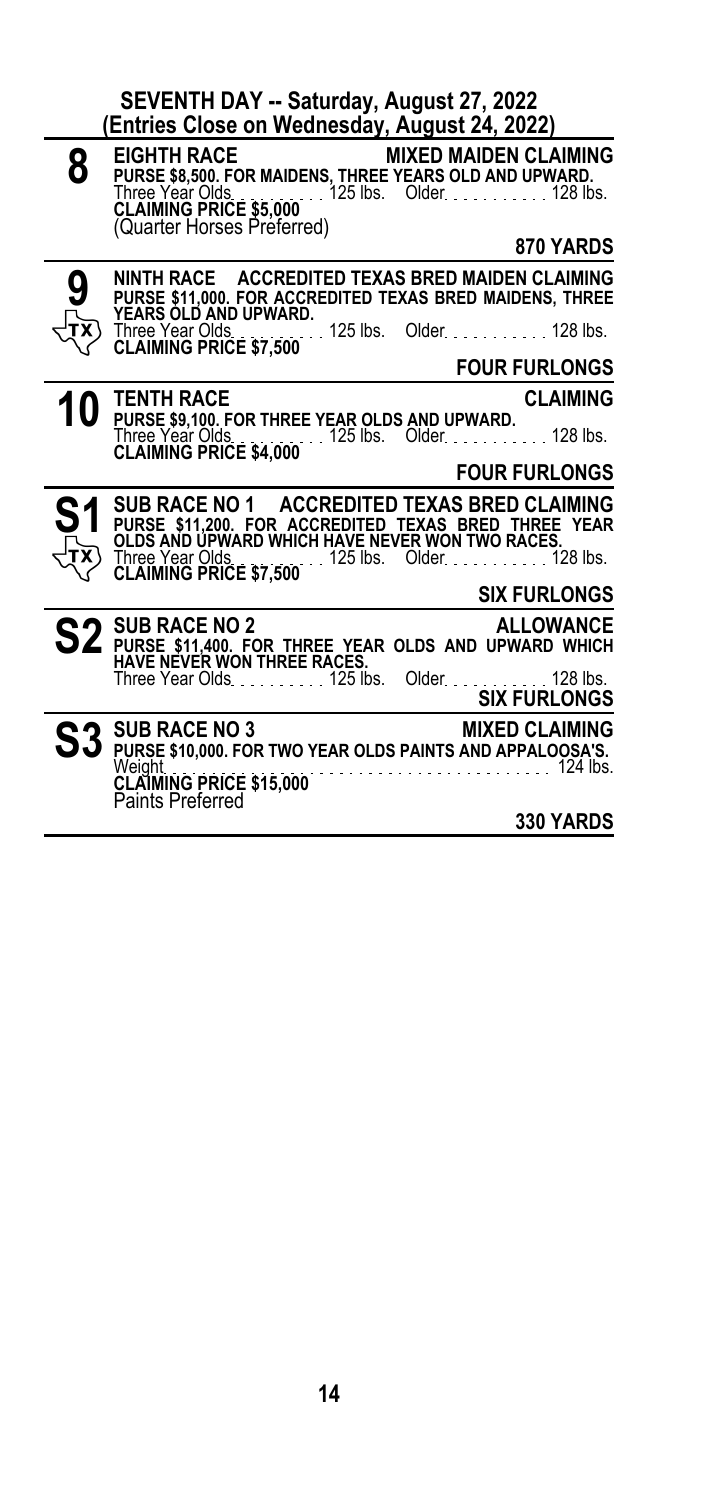## **SEVENTH DAY -- Saturday, August 27, 2022 (Entries Close on Wednesday, August 24, 2022)**

|        | <u>s on weaneeday, Adgaet 24, 2</u>                                                                                                                                                     |
|--------|-----------------------------------------------------------------------------------------------------------------------------------------------------------------------------------------|
| O<br>Ō | <b>MIXED MAIDEN CLAIMING</b><br><b>EIGHTH RACE</b><br>(Quarter Horses Préferred)<br>870 YARDS                                                                                           |
| TX \   | NINTH RACE ACCREDITED TEXAS BRED MAIDEN CLAIMING<br>PURSE \$11,000. FOR ACCREDITED TEXAS BRED MAIDENS, THREE<br>YEARS OLD AND UPWARD.<br><b>FOUR FURLONGS</b>                           |
| 10     | <b>CLAIMING</b><br><b>TENTH RACE</b><br><b>FOUR FURLONGS</b>                                                                                                                            |
| TX \   | SUB RACE NO 1 ACCREDITED TEXAS BRED CLAIMING<br>PURSE \$11,200. FOR ACCREDITED TEXAS BRED THREE YEAR<br>OLDS AND UPWARD WHICH HAVE NEVER WON TWO RACES.<br><b>SIX FURLONGS</b>          |
|        | <b>SUB RACE NO 2</b><br><b>ALLOWANCE</b><br>PURSE \$11,400. FOR THREE YEAR OLDS AND UPWARD WHICH HAVE NEVER WON THREE RACES.<br><b>SIX FURLONGS</b>                                     |
| S3     | <b>SUB RACE NO 3</b><br><b>MIXED CLAIMING</b><br>PURSE \$10,000. FOR TWO YEAR OLDS PAINTS AND APPALOOSA'S.<br>CLAIMING PRICE \$15,000<br>Points Discussed: 124 lbs.<br>Paints Preferred |
|        | <b>330 YARDS</b>                                                                                                                                                                        |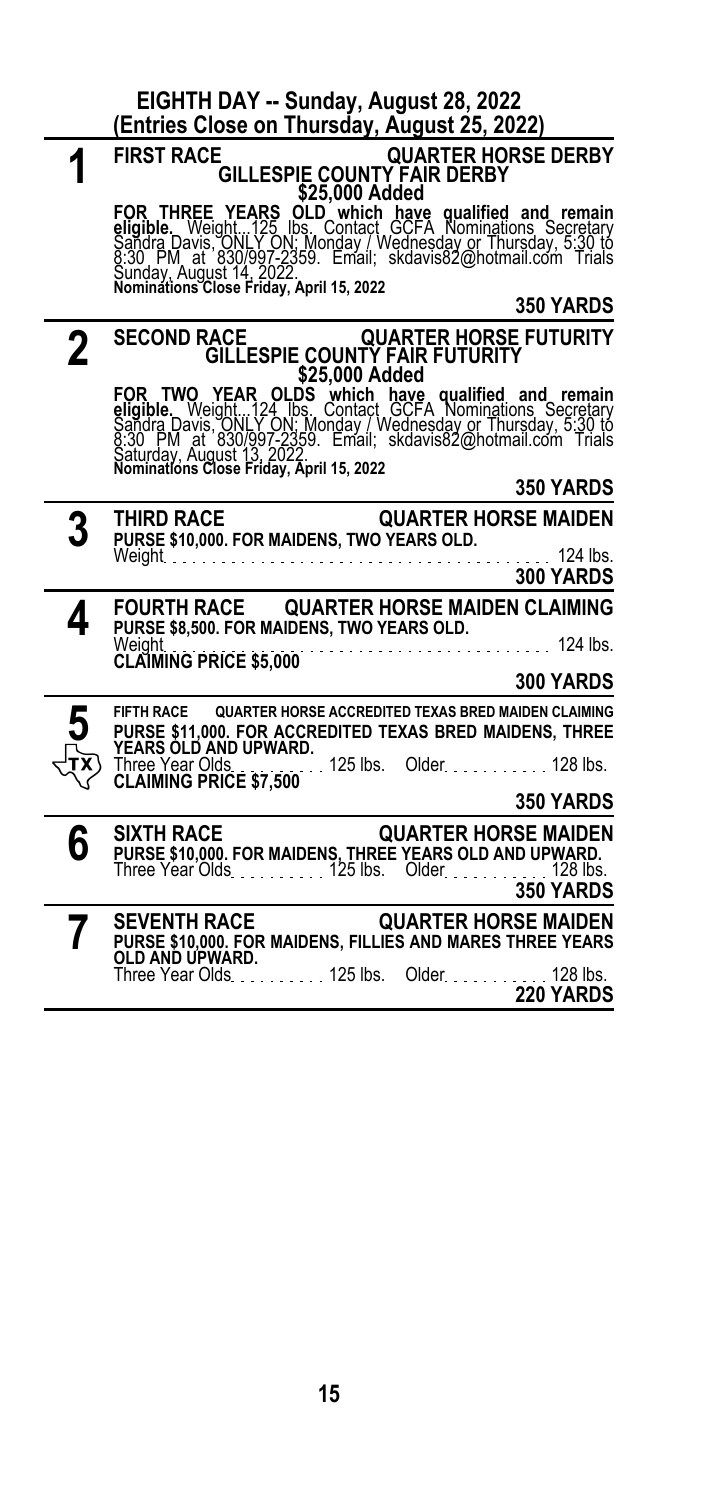|   | EIGHTH DAY -- Sunday, August 28, 2022<br>(Entries Close on Thursday, August 25, 2022)                                                                                                                                                   |
|---|-----------------------------------------------------------------------------------------------------------------------------------------------------------------------------------------------------------------------------------------|
|   | <b>QUARTER HORSE DERBY</b><br><b>FIRST RACE</b><br><b>GILLESPIE COUNTY FAIR DERBY</b><br>\$25,000 Added                                                                                                                                 |
|   | FOR THREE YEARS OLD which have qualified and remain<br>eligible. Weight125 lbs. Contact GCFA Nominations Secretary<br>Sandra Davis, ONLY ON: Monday / Wednesday or Thursday, 5:30 to<br>8:30 PM at 830/997-2359. Email; skdavis82@ho    |
|   | <b>350 YARDS</b>                                                                                                                                                                                                                        |
|   | SECOND RACE QUARTER HORSE FUTURITY<br>\$25,000 Added                                                                                                                                                                                    |
|   | FOR TWO YEAR OLDS which have qualified and remain<br>eligible. Weight. 124 lbs. Contact GCFA Nominations Secretary<br>Sandra Davis ONI Y ON: Monday / Wednesday or Thursday, 5:30<br>8:30 PM at 830/997-2359. Email; skdavis82@hotmail. |
|   |                                                                                                                                                                                                                                         |
|   | <b>QUARTER HORSE MAIDEN</b><br>THIRD RACE                                                                                                                                                                                               |
|   | <b>300 YARDS</b>                                                                                                                                                                                                                        |
|   | FOURTH RACE QUARTER HORSE MAIDEN CLAIMING<br>PURSE \$8,500. FOR MAIDENS, TWO YEARS OLD.<br>Weight<br>CLAIMING PRICE \$5,000 300 300 300 YARDS                                                                                           |
|   | <b>300 YARDS</b>                                                                                                                                                                                                                        |
|   | FIFTH RACE QUARTER HORSE ACCREDITED TEXAS BRED MAIDEN CLAIMING<br>PURSE \$11,000. FOR ACCREDITED TEXAS BRED MAIDENS, THREE<br>YEARS OLD AND UPWARD.                                                                                     |
|   | Three Year Olds = 1 Wave 125 lbs. Older. 128 lbs.<br>CLAIMING PRICE \$7,500                                                                                                                                                             |
|   | 350 YARDS                                                                                                                                                                                                                               |
| 6 | SIXTH RACE QUARTER HORSE MAIDEN<br>PURSE \$10,000. FOR MAIDENS, THREE YEARS OLD AND UPWARD.<br>Three Year Olds. 125 lbs. Older. 128 lbs.<br><b>350 YARDS</b>                                                                            |
|   | SEVENTH RACE QUARTER HORSE MAIDEN<br>PURSE \$10,000. FOR MAIDENS, FILLIES AND MARES THREE YEARS<br><b>OLD AND UPWARD.</b><br>Three Year Olds. 125 lbs. Older. 128 lbs.                                                                  |
|   | 220 YARDS                                                                                                                                                                                                                               |